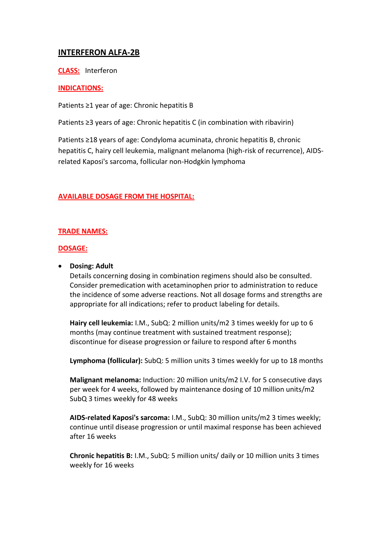# **INTERFERON ALFA-2B**

**CLASS:** Interferon

# **INDICATIONS:**

Patients ≥1 year of age: Chronic hepatitis B

Patients ≥3 years of age: Chronic hepatitis C (in combination with ribavirin)

Patients ≥18 years of age: Condyloma acuminata, chronic hepatitis B, chronic hepatitis C, hairy cell leukemia, malignant melanoma (high-risk of recurrence), AIDSrelated Kaposi's sarcoma, follicular non-Hodgkin lymphoma

# **AVAILABLE DOSAGE FROM THE HOSPITAL:**

## **TRADE NAMES:**

#### **DOSAGE:**

## **•** Dosing: Adult

Details concerning dosing in combination regimens should also be consulted. Consider premedication with acetaminophen prior to administration to reduce the incidence of some adverse reactions. Not all dosage forms and strengths are appropriate for all indications; refer to product labeling for details.

**Hairy cell leukemia:** I.M., SubQ: 2 million units/m2 3 times weekly for up to 6 months (may continue treatment with sustained treatment response); discontinue for disease progression or failure to respond after 6 months

**Lymphoma (follicular):** SubQ: 5 million units 3 times weekly for up to 18 months

**Malignant melanoma:** Induction: 20 million units/m2 I.V. for 5 consecutive days per week for 4 weeks, followed by maintenance dosing of 10 million units/m2 SubQ 3 times weekly for 48 weeks

**AIDS-related Kaposi's sarcoma:** I.M., SubQ: 30 million units/m2 3 times weekly; continue until disease progression or until maximal response has been achieved after 16 weeks

**Chronic hepatitis B:** I.M., SubQ: 5 million units/ daily or 10 million units 3 times weekly for 16 weeks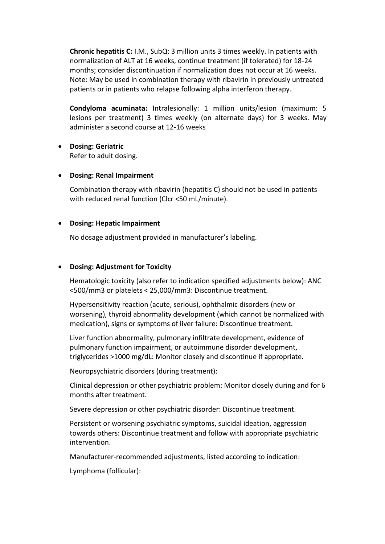**Chronic hepatitis C:** I.M., SubQ: 3 million units 3 times weekly. In patients with normalization of ALT at 16 weeks, continue treatment (if tolerated) for 18-24 months; consider discontinuation if normalization does not occur at 16 weeks. Note: May be used in combination therapy with ribavirin in previously untreated patients or in patients who relapse following alpha interferon therapy.

**Condyloma acuminata:** Intralesionally: 1 million units/lesion (maximum: 5 lesions per treatment) 3 times weekly (on alternate days) for 3 weeks. May administer a second course at 12-16 weeks

- **Dosing: Geriatric** Refer to adult dosing.
- **Dosing: Renal Impairment**

Combination therapy with ribavirin (hepatitis C) should not be used in patients with reduced renal function (Clcr <50 mL/minute).

## **Dosing: Hepatic Impairment**

No dosage adjustment provided in manufacturer's labeling.

#### **Dosing: Adjustment for Toxicity**

Hematologic toxicity (also refer to indication specified adjustments below): ANC <500/mm3 or platelets < 25,000/mm3: Discontinue treatment.

Hypersensitivity reaction (acute, serious), ophthalmic disorders (new or worsening), thyroid abnormality development (which cannot be normalized with medication), signs or symptoms of liver failure: Discontinue treatment.

Liver function abnormality, pulmonary infiltrate development, evidence of pulmonary function impairment, or autoimmune disorder development, triglycerides >1000 mg/dL: Monitor closely and discontinue if appropriate.

Neuropsychiatric disorders (during treatment):

Clinical depression or other psychiatric problem: Monitor closely during and for 6 months after treatment.

Severe depression or other psychiatric disorder: Discontinue treatment.

Persistent or worsening psychiatric symptoms, suicidal ideation, aggression towards others: Discontinue treatment and follow with appropriate psychiatric intervention.

Manufacturer-recommended adjustments, listed according to indication:

Lymphoma (follicular):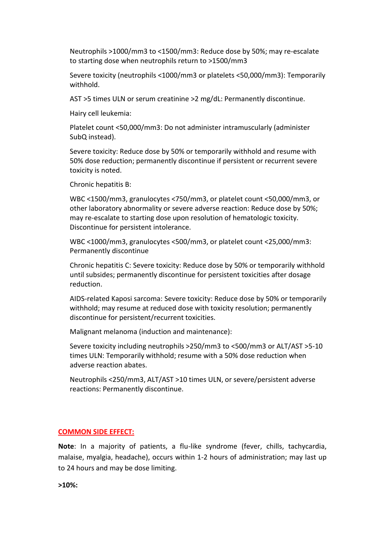Neutrophils >1000/mm3 to <1500/mm3: Reduce dose by 50%; may re-escalate to starting dose when neutrophils return to >1500/mm3

Severe toxicity (neutrophils <1000/mm3 or platelets <50,000/mm3): Temporarily withhold.

AST >5 times ULN or serum creatinine >2 mg/dL: Permanently discontinue.

Hairy cell leukemia:

Platelet count <50,000/mm3: Do not administer intramuscularly (administer SubQ instead).

Severe toxicity: Reduce dose by 50% or temporarily withhold and resume with 50% dose reduction; permanently discontinue if persistent or recurrent severe toxicity is noted.

Chronic hepatitis B:

WBC <1500/mm3, granulocytes <750/mm3, or platelet count <50,000/mm3, or other laboratory abnormality or severe adverse reaction: Reduce dose by 50%; may re-escalate to starting dose upon resolution of hematologic toxicity. Discontinue for persistent intolerance.

WBC <1000/mm3, granulocytes <500/mm3, or platelet count <25,000/mm3: Permanently discontinue

Chronic hepatitis C: Severe toxicity: Reduce dose by 50% or temporarily withhold until subsides; permanently discontinue for persistent toxicities after dosage reduction.

AIDS-related Kaposi sarcoma: Severe toxicity: Reduce dose by 50% or temporarily withhold; may resume at reduced dose with toxicity resolution; permanently discontinue for persistent/recurrent toxicities.

Malignant melanoma (induction and maintenance):

Severe toxicity including neutrophils >250/mm3 to <500/mm3 or ALT/AST >5-10 times ULN: Temporarily withhold; resume with a 50% dose reduction when adverse reaction abates.

Neutrophils <250/mm3, ALT/AST >10 times ULN, or severe/persistent adverse reactions: Permanently discontinue.

#### **COMMON SIDE EFFECT:**

**Note**: In a majority of patients, a flu-like syndrome (fever, chills, tachycardia, malaise, myalgia, headache), occurs within 1-2 hours of administration; may last up to 24 hours and may be dose limiting.

**>10%:**